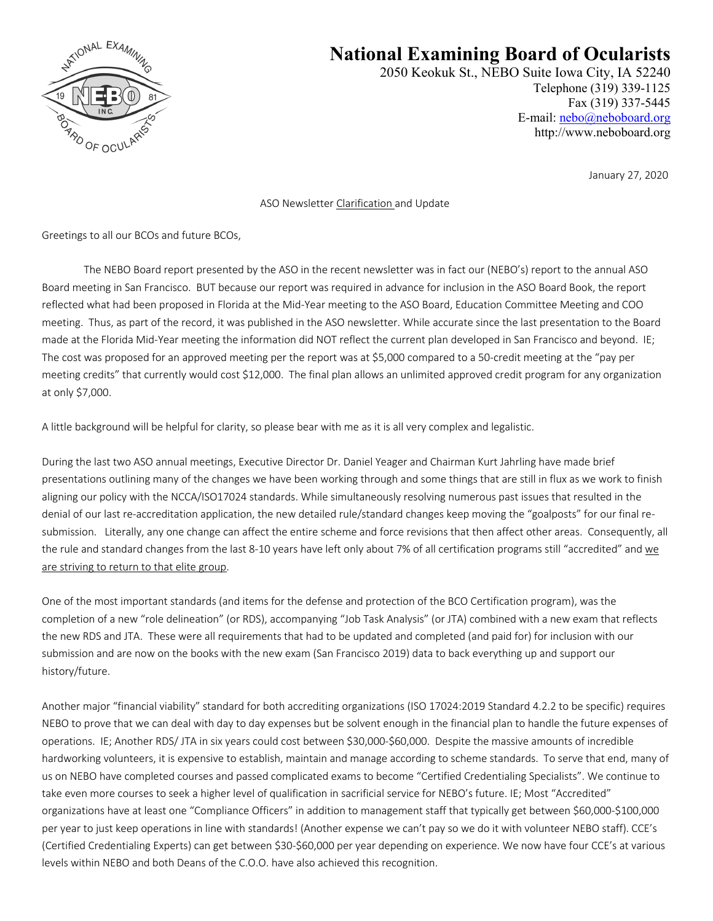

## **National Examining Board of Ocularists**

2050 Keokuk St., NEBO Suite Iowa City, IA 52240 Telephone (319) 339-1125 Fax (319) 337-5445 E-mail: nebo@neboboard.org http://www.neboboard.org

January 27, 2020

## ASO Newsletter Clarification and Update

Greetings to all our BCOs and future BCOs,

The NEBO Board report presented by the ASO in the recent newsletter was in fact our (NEBO's) report to the annual ASO Board meeting in San Francisco. BUT because our report was required in advance for inclusion in the ASO Board Book, the report reflected what had been proposed in Florida at the Mid-Year meeting to the ASO Board, Education Committee Meeting and COO meeting. Thus, as part of the record, it was published in the ASO newsletter. While accurate since the last presentation to the Board made at the Florida Mid-Year meeting the information did NOT reflect the current plan developed in San Francisco and beyond. IE; The cost was proposed for an approved meeting per the report was at \$5,000 compared to a 50-credit meeting at the "pay per meeting credits" that currently would cost \$12,000. The final plan allows an unlimited approved credit program for any organization at only \$7,000.

A little background will be helpful for clarity, so please bear with me as it is all very complex and legalistic.

During the last two ASO annual meetings, Executive Director Dr. Daniel Yeager and Chairman Kurt Jahrling have made brief presentations outlining many of the changes we have been working through and some things that are still in flux as we work to finish aligning our policy with the NCCA/ISO17024 standards. While simultaneously resolving numerous past issues that resulted in the denial of our last re-accreditation application, the new detailed rule/standard changes keep moving the "goalposts" for our final resubmission. Literally, any one change can affect the entire scheme and force revisions that then affect other areas. Consequently, all the rule and standard changes from the last 8-10 years have left only about 7% of all certification programs still "accredited" and we are striving to return to that elite group.

One of the most important standards (and items for the defense and protection of the BCO Certification program), was the completion of a new "role delineation" (or RDS), accompanying "Job Task Analysis" (or JTA) combined with a new exam that reflects the new RDS and JTA. These were all requirements that had to be updated and completed (and paid for) for inclusion with our submission and are now on the books with the new exam (San Francisco 2019) data to back everything up and support our history/future.

Another major "financial viability" standard for both accrediting organizations (ISO 17024:2019 Standard 4.2.2 to be specific) requires NEBO to prove that we can deal with day to day expenses but be solvent enough in the financial plan to handle the future expenses of operations. IE; Another RDS/ JTA in six years could cost between \$30,000-\$60,000. Despite the massive amounts of incredible hardworking volunteers, it is expensive to establish, maintain and manage according to scheme standards. To serve that end, many of us on NEBO have completed courses and passed complicated exams to become "Certified Credentialing Specialists". We continue to take even more courses to seek a higher level of qualification in sacrificial service for NEBO's future. IE; Most "Accredited" organizations have at least one "Compliance Officers" in addition to management staff that typically get between \$60,000-\$100,000 per year to just keep operations in line with standards! (Another expense we can't pay so we do it with volunteer NEBO staff). CCE's (Certified Credentialing Experts) can get between \$30-\$60,000 per year depending on experience. We now have four CCE's at various levels within NEBO and both Deans of the C.O.O. have also achieved this recognition.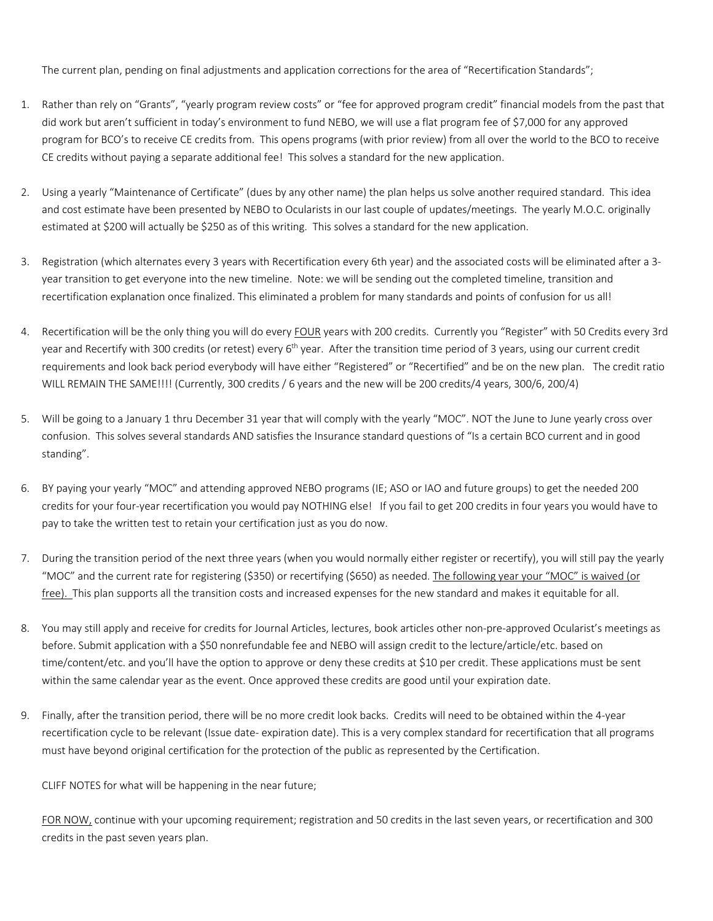The current plan, pending on final adjustments and application corrections for the area of "Recertification Standards";

- 1. Rather than rely on "Grants", "yearly program review costs" or "fee for approved program credit" financial models from the past that did work but aren't sufficient in today's environment to fund NEBO, we will use a flat program fee of \$7,000 for any approved program for BCO's to receive CE credits from. This opens programs (with prior review) from all over the world to the BCO to receive CE credits without paying a separate additional fee! This solves a standard for the new application.
- 2. Using a yearly "Maintenance of Certificate" (dues by any other name) the plan helps us solve another required standard. This idea and cost estimate have been presented by NEBO to Ocularists in our last couple of updates/meetings. The yearly M.O.C. originally estimated at \$200 will actually be \$250 as of this writing. This solves a standard for the new application.
- 3. Registration (which alternates every 3 years with Recertification every 6th year) and the associated costs will be eliminated after a 3 year transition to get everyone into the new timeline. Note: we will be sending out the completed timeline, transition and recertification explanation once finalized. This eliminated a problem for many standards and points of confusion for us all!
- 4. Recertification will be the only thing you will do every FOUR years with 200 credits. Currently you "Register" with 50 Credits every 3rd year and Recertify with 300 credits (or retest) every 6<sup>th</sup> year. After the transition time period of 3 years, using our current credit requirements and look back period everybody will have either "Registered" or "Recertified" and be on the new plan. The credit ratio WILL REMAIN THE SAME!!!! (Currently, 300 credits / 6 years and the new will be 200 credits/4 years, 300/6, 200/4)
- 5. Will be going to a January 1 thru December 31 year that will comply with the yearly "MOC". NOT the June to June yearly cross over confusion. This solves several standards AND satisfies the Insurance standard questions of "Is a certain BCO current and in good standing".
- 6. BY paying your yearly "MOC" and attending approved NEBO programs (IE; ASO or IAO and future groups) to get the needed 200 credits for your four-year recertification you would pay NOTHING else! If you fail to get 200 credits in four years you would have to pay to take the written test to retain your certification just as you do now.
- 7. During the transition period of the next three years (when you would normally either register or recertify), you will still pay the yearly "MOC" and the current rate for registering (\$350) or recertifying (\$650) as needed. The following year your "MOC" is waived (or free). This plan supports all the transition costs and increased expenses for the new standard and makes it equitable for all.
- 8. You may still apply and receive for credits for Journal Articles, lectures, book articles other non-pre-approved Ocularist's meetings as before. Submit application with a \$50 nonrefundable fee and NEBO will assign credit to the lecture/article/etc. based on time/content/etc. and you'll have the option to approve or deny these credits at \$10 per credit. These applications must be sent within the same calendar year as the event. Once approved these credits are good until your expiration date.
- 9. Finally, after the transition period, there will be no more credit look backs. Credits will need to be obtained within the 4-year recertification cycle to be relevant (Issue date- expiration date). This is a very complex standard for recertification that all programs must have beyond original certification for the protection of the public as represented by the Certification.

CLIFF NOTES for what will be happening in the near future;

FOR NOW, continue with your upcoming requirement; registration and 50 credits in the last seven years, or recertification and 300 credits in the past seven years plan.